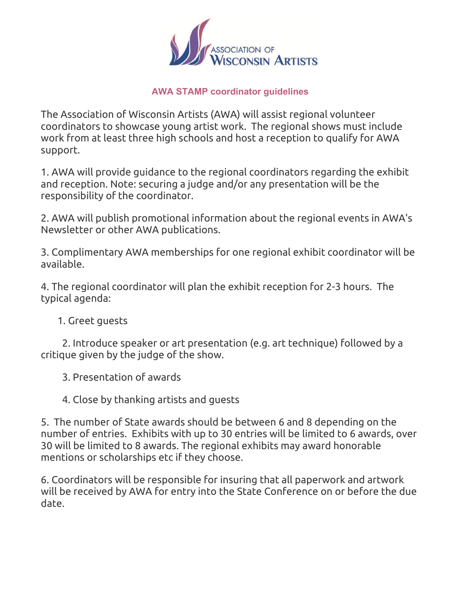

## **AWA STAMP coordinator guidelines**

The Association of Wisconsin Artists (AWA) will assist regional volunteer coordinators to showcase young artist work. The regional shows must include work from at least three high schools and host a reception to qualify for AWA support.

1. AWA will provide guidance to the regional coordinators regarding the exhibit and reception. Note: securing a judge and/or any presentation will be the responsibility of the coordinator.

2. AWA will publish promotional information about the regional events in AWA's Newsletter or other AWA publications.

3. Complimentary AWA memberships for one regional exhibit coordinator will be available.

4. The regional coordinator will plan the exhibit reception for 2-3 hours. The typical agenda:

1. Greet guests

 2. Introduce speaker or art presentation (e.g. art technique) followed by a critique given by the judge of the show.

3. Presentation of awards

4. Close by thanking artists and guests

5. The number of State awards should be between 6 and 8 depending on the number of entries. Exhibits with up to 30 entries will be limited to 6 awards, over 30 will be limited to 8 awards. The regional exhibits may award honorable mentions or scholarships etc if they choose.

6. Coordinators will be responsible for insuring that all paperwork and artwork will be received by AWA for entry into the State Conference on or before the due date.